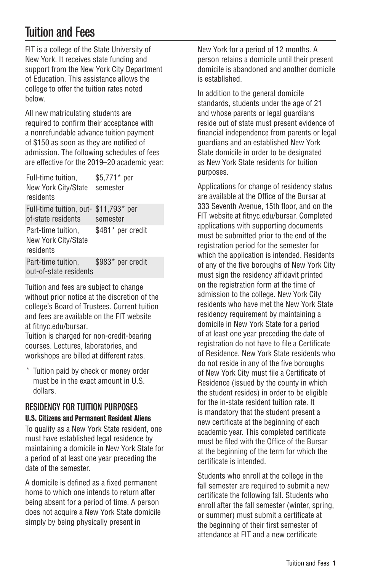# Tuition and Fees

FIT is a college of the State University of New York. It receives state funding and support from the New York City Department of Education. This assistance allows the college to offer the tuition rates noted below.

All new matriculating students are required to confirm their acceptance with a nonrefundable advance tuition payment of \$150 as soon as they are notified of admission. The following schedules of fees are effective for the 2019–20 academic year:

| Full-time tuition,<br>New York City/State<br>residents      | \$5,771* per<br>semester |
|-------------------------------------------------------------|--------------------------|
| Full-time tuition, out- \$11,793* per<br>of-state residents | semester                 |
| Part-time tuition,<br>New York City/State<br>residents      | \$481* per credit        |
| Part-time tuition,<br>out-of-state residents                | \$983* per credit        |

Tuition and fees are subject to change without prior notice at the discretion of the college's Board of Trustees. Current tuition and fees are available on the FIT website at [fitnyc.edu/bursar](http://fitnyc.edu/bursar/).

Tuition is charged for non-credit-bearing courses. Lectures, laboratories, and workshops are billed at different rates.

Tuition paid by check or money order must be in the exact amount in U.S. dollars.

## RESIDENCY FOR TUITION PURPOSES

### U.S. Citizens and Permanent Resident Aliens

To qualify as a New York State resident, one must have established legal residence by maintaining a domicile in New York State for a period of at least one year preceding the date of the semester.

A domicile is defined as a fixed permanent home to which one intends to return after being absent for a period of time. A person does not acquire a New York State domicile simply by being physically present in

New York for a period of 12 months. A person retains a domicile until their present domicile is abandoned and another domicile is established.

In addition to the general domicile standards, students under the age of 21 and whose parents or legal guardians reside out of state must present evidence of financial independence from parents or legal guardians and an established New York State domicile in order to be designated as New York State residents for tuition purposes.

Applications for change of residency status are available at the Office of the Bursar at 333 Seventh Avenue, 15th floor, and on the FIT website at fitnyc.edu/bursar. Completed applications with supporting documents must be submitted prior to the end of the registration period for the semester for which the application is intended. Residents of any of the five boroughs of New York City must sign the residency affidavit printed on the registration form at the time of admission to the college. New York City residents who have met the New York State residency requirement by maintaining a domicile in New York State for a period of at least one year preceding the date of registration do not have to file a Certificate of Residence. New York State residents who do not reside in any of the five boroughs of New York City must file a Certificate of Residence (issued by the county in which the student resides) in order to be eligible for the in-state resident tuition rate. It is mandatory that the student present a new certificate at the beginning of each academic year. This completed certificate must be filed with the Office of the Bursar at the beginning of the term for which the certificate is intended.

Students who enroll at the college in the fall semester are required to submit a new certificate the following fall. Students who enroll after the fall semester (winter, spring, or summer) must submit a certificate at the beginning of their first semester of attendance at FIT and a new certificate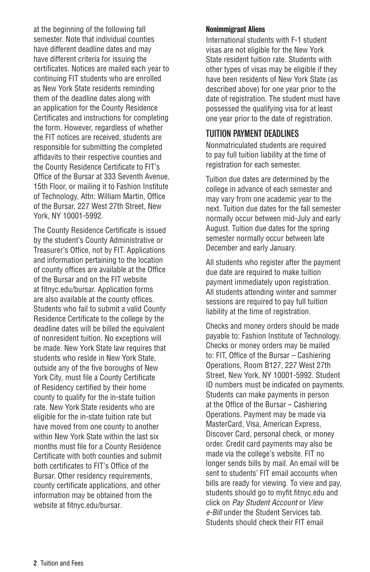at the beginning of the following fall semester. Note that individual counties have different deadline dates and may have different criteria for issuing the certificates. Notices are mailed each year to continuing FIT students who are enrolled as New York State residents reminding them of the deadline dates along with an application for the County Residence Certificates and instructions for completing the form. However, regardless of whether the FIT notices are received, students are responsible for submitting the completed affidavits to their respective counties and the County Residence Certificate to FIT's Office of the Bursar at 333 Seventh Avenue, 15th Floor, or mailing it to Fashion Institute of Technology, Attn: William Martin, Office of the Bursar, 227 West 27th Street, New York, NY 10001-5992.

The County Residence Certificate is issued by the student's County Administrative or Treasurer's Office, not by FIT. Applications and information pertaining to the location of county offices are available at the Office of the Bursar and on the FIT website at fitnyc.edu/bursar. Application forms are also available at the county offices. Students who fail to submit a valid County Residence Certificate to the college by the deadline dates will be billed the equivalent of nonresident tuition. No exceptions will be made. New York State law requires that students who reside in New York State, outside any of the five boroughs of New York City, must file a County Certificate of Residency certified by their home county to qualify for the in-state tuition rate. New York State residents who are eligible for the in-state tuition rate but have moved from one county to another within New York State within the last six months must file for a County Residence Certificate with both counties and submit both certificates to FIT's Office of the Bursar. Other residency requirements, county certificate applications, and other information may be obtained from the website at [fitnyc.edu/bursar.](http://fitnyc.edu/bursar/)

#### Nonimmigrant Aliens

International students with F-1 student visas are not eligible for the New York State resident tuition rate. Students with other types of visas may be eligible if they have been residents of New York State (as described above) for one year prior to the date of registration. The student must have possessed the qualifying visa for at least one year prior to the date of registration.

## TUITION PAYMENT DEADLINES

Nonmatriculated students are required to pay full tuition liability at the time of registration for each semester.

Tuition due dates are determined by the college in advance of each semester and may vary from one academic year to the next. Tuition due dates for the fall semester normally occur between mid-July and early August. Tuition due dates for the spring semester normally occur between late December and early January.

All students who register after the payment due date are required to make tuition payment immediately upon registration. All students attending winter and summer sessions are required to pay full tuition liability at the time of registration.

Checks and money orders should be made payable to: Fashion Institute of Technology. Checks or money orders may be mailed to: FIT, Office of the Bursar – Cashiering Operations, Room B127, 227 West 27th Street, New York, NY 10001-5992. Student ID numbers must be indicated on payments. Students can make payments in person at the Office of the Bursar – Cashiering Operations. Payment may be made via MasterCard, Visa, American Express, Discover Card, personal check, or money order. Credit card payments may also be made via the college's website. FIT no longer sends bills by mail. An email will be sent to students' FIT email accounts when bills are ready for viewing. To view and pay, students should go to [myfit.fitnyc.edu](http://myfit.fitnyc.edu/) and click on *Pay Student Account* or *View e-Bill* under the Student Services tab. Students should check their FIT email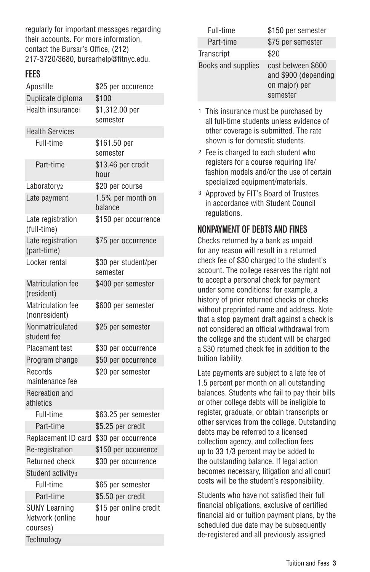regularly for important messages regarding their accounts. For more information, contact the Bursar's Office, (212) 217-3720/3680, [bursarhelp@fitnyc.edu.](mailto:bursarhelp@fitnyc.edu)

## FEES

| Apostille                                           | \$25 per occurence               |
|-----------------------------------------------------|----------------------------------|
| Duplicate diploma                                   | \$100                            |
| Health insurance1                                   | \$1,312.00 per<br>semester       |
| <b>Health Services</b>                              |                                  |
| Full-time                                           | \$161.50 per<br>semester         |
| Part-time                                           | \$13.46 per credit<br>hour       |
| Laboratory <sub>2</sub>                             | \$20 per course                  |
| Late payment                                        | 1.5% per month on<br>balance     |
| Late registration<br>(full-time)                    | \$150 per occurrence             |
| Late registration<br>(part-time)                    | \$75 per occurrence              |
| Locker rental                                       | \$30 per student/per<br>semester |
| <b>Matriculation fee</b><br>(resident)              | \$400 per semester               |
| Matriculation fee<br>(nonresident)                  | \$600 per semester               |
| Nonmatriculated<br>student fee                      | \$25 per semester                |
| Placement test                                      | \$30 per occurrence              |
| Program change                                      | \$50 per occurrence              |
| Records<br>maintenance fee                          | \$20 per semester                |
| <b>Recreation and</b><br>athletics                  |                                  |
| Full-time                                           | \$63.25 per semester             |
| Part-time                                           | \$5.25 per credit                |
| Replacement ID card                                 | \$30 per occurrence              |
| Re-registration                                     | \$150 per occurence              |
| Returned check                                      | \$30 per occurrence              |
| Student activity <sub>3</sub>                       |                                  |
| Full-time                                           | \$65 per semester                |
| Part-time                                           | \$5.50 per credit                |
| <b>SUNY Learning</b><br>Network (online<br>courses) | \$15 per online credit<br>hour   |
| Technology                                          |                                  |

| Full-time          | \$150 per semester                                                      |
|--------------------|-------------------------------------------------------------------------|
| Part-time          | \$75 per semester                                                       |
| Transcript         | \$20                                                                    |
| Books and supplies | cost between \$600<br>and \$900 (depending<br>on major) per<br>semester |

- 1 This insurance must be purchased by all full-time students unless evidence of other coverage is submitted. The rate shown is for domestic students.
- 2 Fee is charged to each student who registers for a course requiring life/ fashion models and/or the use of certain specialized equipment/materials.
- 3 Approved by FIT's Board of Trustees in accordance with Student Council regulations.

## NONPAYMENT OF DEBTS AND FINES

Checks returned by a bank as unpaid for any reason will result in a returned check fee of \$30 charged to the student's account. The college reserves the right not to accept a personal check for payment under some conditions: for example, a history of prior returned checks or checks without preprinted name and address. Note that a stop payment draft against a check is not considered an official withdrawal from the college and the student will be charged a \$30 returned check fee in addition to the tuition liability.

Late payments are subject to a late fee of 1.5 percent per month on all outstanding balances. Students who fail to pay their bills or other college debts will be ineligible to register, graduate, or obtain transcripts or other services from the college. Outstanding debts may be referred to a licensed collection agency, and collection fees up to 33 1/3 percent may be added to the outstanding balance. If legal action becomes necessary, litigation and all court costs will be the student's responsibility.

Students who have not satisfied their full financial obligations, exclusive of certified financial aid or tuition payment plans, by the scheduled due date may be subsequently de-registered and all previously assigned